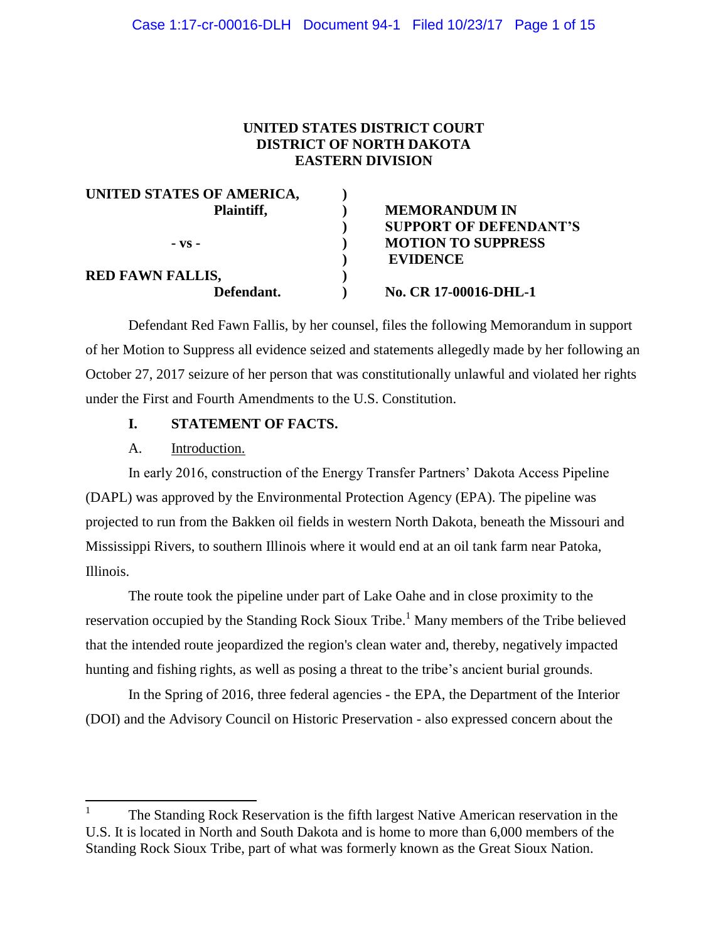## **UNITED STATES DISTRICT COURT DISTRICT OF NORTH DAKOTA EASTERN DIVISION**

| UNITED STATES OF AMERICA, |                               |
|---------------------------|-------------------------------|
| Plaintiff,                | <b>MEMORANDUM IN</b>          |
|                           | <b>SUPPORT OF DEFENDANT'S</b> |
| $-VS -$                   | <b>MOTION TO SUPPRESS</b>     |
|                           | <b>EVIDENCE</b>               |
| <b>RED FAWN FALLIS,</b>   |                               |
| Defendant.                | No. CR 17-00016-DHL-1         |
|                           |                               |

Defendant Red Fawn Fallis, by her counsel, files the following Memorandum in support of her Motion to Suppress all evidence seized and statements allegedly made by her following an October 27, 2017 seizure of her person that was constitutionally unlawful and violated her rights under the First and Fourth Amendments to the U.S. Constitution.

## **I. STATEMENT OF FACTS.**

### A. Introduction.

 $\overline{\phantom{a}}$ 

In early 2016, construction of the Energy Transfer Partners' Dakota Access Pipeline (DAPL) was approved by the Environmental Protection Agency (EPA). The pipeline was projected to run from the Bakken oil fields in western North Dakota, beneath the Missouri and Mississippi Rivers, to southern Illinois where it would end at an oil tank farm near Patoka, Illinois.

The route took the pipeline under part of Lake Oahe and in close proximity to the reservation occupied by the Standing Rock Sioux Tribe.<sup>1</sup> Many members of the Tribe believed that the intended route jeopardized the region's clean water and, thereby, negatively impacted hunting and fishing rights, as well as posing a threat to the tribe's ancient burial grounds.

In the Spring of 2016, three federal agencies - the EPA, the Department of the Interior (DOI) and the Advisory Council on Historic Preservation - also expressed concern about the

<sup>1</sup> The Standing Rock Reservation is the fifth largest Native American reservation in the U.S. It is located in North and South Dakota and is home to more than 6,000 members of the Standing Rock Sioux Tribe, part of what was formerly known as the Great Sioux Nation.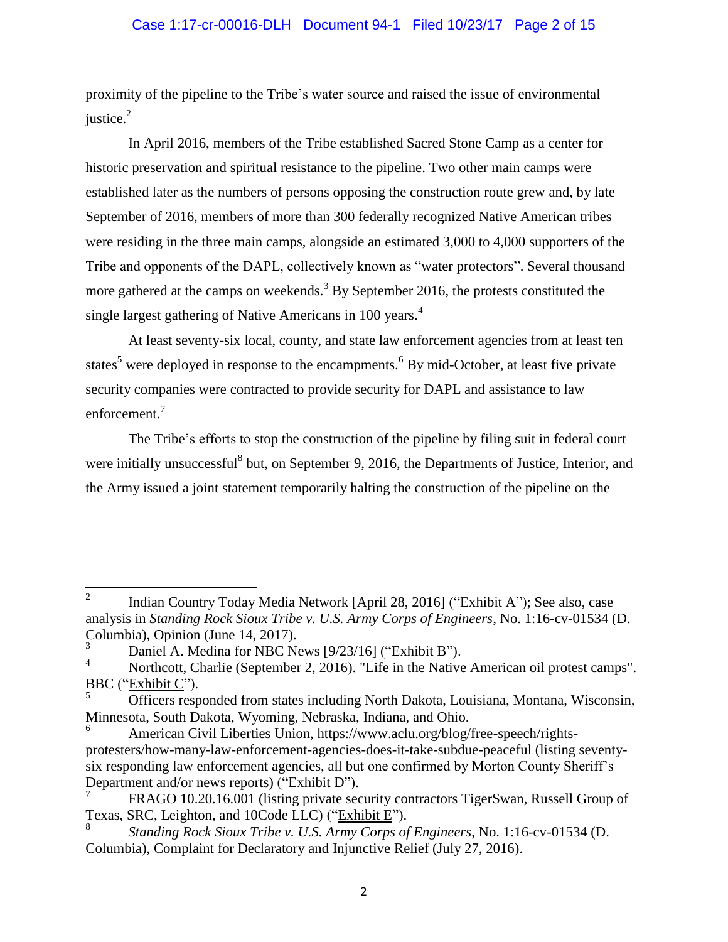## Case 1:17-cr-00016-DLH Document 94-1 Filed 10/23/17 Page 2 of 15

proximity of the pipeline to the Tribe's water source and raised the issue of environmental justice. 2

In April 2016, members of the Tribe established Sacred Stone Camp as a center for historic preservation and spiritual resistance to the pipeline. Two other main camps were established later as the numbers of persons opposing the construction route grew and, by late September of 2016, members of more than 300 federally recognized Native American tribes were residing in the three main camps, alongside an estimated 3,000 to 4,000 supporters of the Tribe and opponents of the DAPL, collectively known as "water protectors". Several thousand more gathered at the camps on weekends.<sup>3</sup> By September 2016, the protests constituted the single largest gathering of Native Americans in 100 years.<sup>4</sup>

At least seventy-six local, county, and state law enforcement agencies from at least ten states<sup>5</sup> were deployed in response to the encampments.<sup>6</sup> By mid-October, at least five private security companies were contracted to provide security for DAPL and assistance to law enforcement.<sup>7</sup>

The Tribe's efforts to stop the construction of the pipeline by filing suit in federal court were initially unsuccessful<sup>8</sup> but, on September 9, 2016, the Departments of Justice, Interior, and the Army issued a joint statement temporarily halting the construction of the pipeline on the

<sup>&</sup>lt;sup>2</sup> Indian Country Today Media Network [April 28, 2016] ("Exhibit A"); See also, case analysis in *Standing Rock Sioux Tribe v. U.S. Army Corps of Engineers*, No. 1:16-cv-01534 (D. Columbia), Opinion (June 14, 2017).

 $\frac{3}{4}$  Daniel A. Medina for NBC News [9/23/16] ("Exhibit B").

Northcott, Charlie (September 2, 2016). "Life in the Native American oil protest camps". BBC ("Exhibit C").

<sup>5</sup> Officers responded from states including North Dakota, Louisiana, Montana, Wisconsin, Minnesota, South Dakota, Wyoming, Nebraska, Indiana, and Ohio.

American Civil Liberties Union, https://www.aclu.org/blog/free-speech/rightsprotesters/how-many-law-enforcement-agencies-does-it-take-subdue-peaceful (listing seventysix responding law enforcement agencies, all but one confirmed by Morton County Sheriff's Department and/or news reports) ("Exhibit D").

<sup>7</sup> FRAGO 10.20.16.001 (listing private security contractors TigerSwan, Russell Group of Texas, SRC, Leighton, and 10Code LLC) ("Exhibit E").

<sup>8</sup> *Standing Rock Sioux Tribe v. U.S. Army Corps of Engineers*, No. 1:16-cv-01534 (D. Columbia), Complaint for Declaratory and Injunctive Relief (July 27, 2016).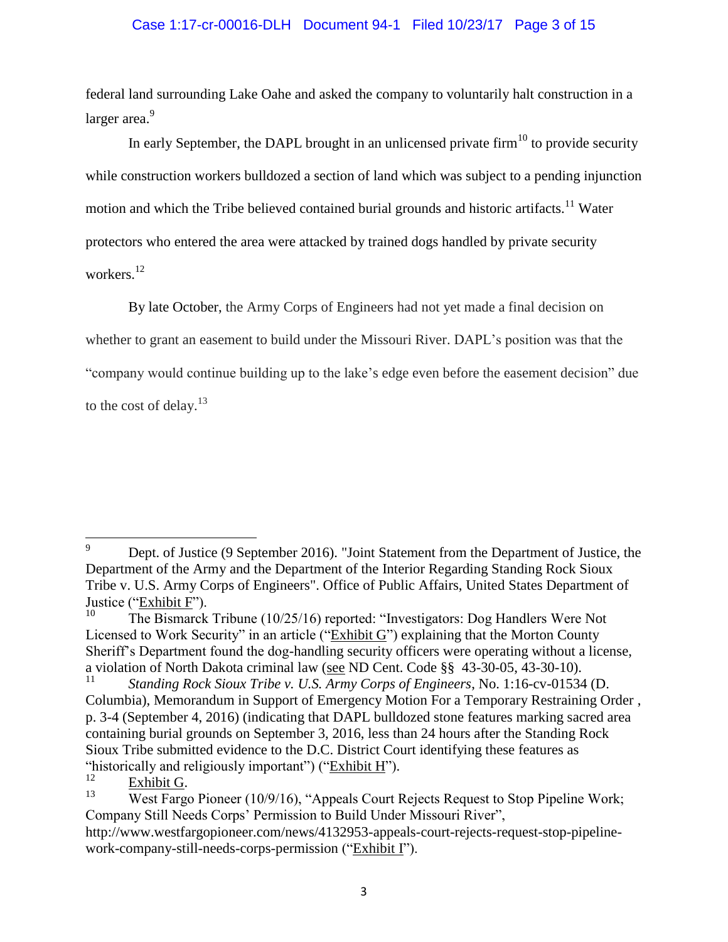## Case 1:17-cr-00016-DLH Document 94-1 Filed 10/23/17 Page 3 of 15

federal land surrounding Lake Oahe and asked the company to voluntarily halt construction in a larger area.<sup>9</sup>

In early September, the DAPL brought in an unlicensed private firm $^{10}$  to provide security while construction workers bulldozed a section of land which was subject to a pending injunction motion and which the Tribe believed contained burial grounds and historic artifacts.<sup>11</sup> Water protectors who entered the area were attacked by trained dogs handled by private security workers. 12

By late October, the Army Corps of Engineers had not yet made a final decision on whether to grant an easement to build under the Missouri River. DAPL's position was that the "company would continue building up to the lake's edge even before the easement decision" due to the cost of delay. $13$ 

 $rac{12}{13}$  Exhibit G.

 $\overline{9}$ <sup>9</sup> Dept. of Justice (9 September 2016). "Joint Statement from the Department of Justice, the Department of the Army and the Department of the Interior Regarding Standing Rock Sioux Tribe v. U.S. Army Corps of Engineers". Office of Public Affairs, United States Department of Justice ("Exhibit F").

<sup>10</sup> The Bismarck Tribune (10/25/16) reported: "Investigators: Dog Handlers Were Not Licensed to Work Security" in an article ("Exhibit G") explaining that the Morton County Sheriff's Department found the dog-handling security officers were operating without a license, a violation of North Dakota criminal law (see ND Cent. Code  $\S$ ) 43-30-05, 43-30-10).

<sup>11</sup> *Standing Rock Sioux Tribe v. U.S. Army Corps of Engineers*, No. 1:16-cv-01534 (D. Columbia), Memorandum in Support of Emergency Motion For a Temporary Restraining Order , p. 3-4 (September 4, 2016) (indicating that DAPL bulldozed stone features marking sacred area containing burial grounds on September 3, 2016, less than 24 hours after the Standing Rock Sioux Tribe submitted evidence to the D.C. District Court identifying these features as "historically and religiously important") (" $\frac{12 \text{ K} \cdot \text{K}}{2}$ ").

West Fargo Pioneer (10/9/16), "Appeals Court Rejects Request to Stop Pipeline Work; Company Still Needs Corps' Permission to Build Under Missouri River",

http://www.westfargopioneer.com/news/4132953-appeals-court-rejects-request-stop-pipelinework-company-still-needs-corps-permission ("Exhibit I").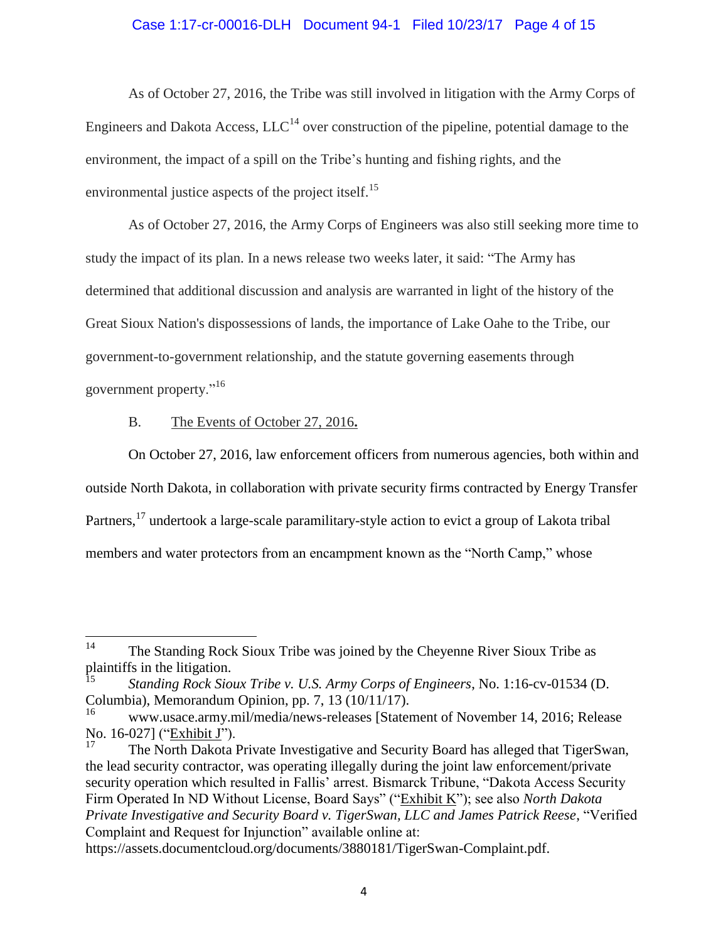### Case 1:17-cr-00016-DLH Document 94-1 Filed 10/23/17 Page 4 of 15

As of October 27, 2016, the Tribe was still involved in litigation with the Army Corps of Engineers and Dakota Access,  $LLC^{14}$  over construction of the pipeline, potential damage to the environment, the impact of a spill on the Tribe's hunting and fishing rights, and the environmental justice aspects of the project itself.<sup>15</sup>

As of October 27, 2016, the Army Corps of Engineers was also still seeking more time to study the impact of its plan. In a news release two weeks later, it said: "The Army has determined that additional discussion and analysis are warranted in light of the history of the Great Sioux Nation's dispossessions of lands, the importance of Lake Oahe to the Tribe, our government-to-government relationship, and the statute governing easements through government property."<sup>16</sup>

## B. The Events of October 27, 2016**.**

On October 27, 2016, law enforcement officers from numerous agencies, both within and outside North Dakota, in collaboration with private security firms contracted by Energy Transfer Partners,<sup>17</sup> undertook a large-scale paramilitary-style action to evict a group of Lakota tribal members and water protectors from an encampment known as the "North Camp," whose

 $14$ The Standing Rock Sioux Tribe was joined by the Cheyenne River Sioux Tribe as plaintiffs in the litigation.

<sup>15</sup> *Standing Rock Sioux Tribe v. U.S. Army Corps of Engineers*, No. 1:16-cv-01534 (D. Columbia), Memorandum Opinion, pp. 7, 13 (10/11/17).

<sup>16</sup> www.usace.army.mil/media/news-releases [Statement of November 14, 2016; Release No. 16-027] ("Exhibit J").

The North Dakota Private Investigative and Security Board has alleged that TigerSwan, the lead security contractor, was operating illegally during the joint law enforcement/private security operation which resulted in Fallis' arrest. Bismarck Tribune, "Dakota Access Security Firm Operated In ND Without License, Board Says" ("Exhibit K"); see also *North Dakota Private Investigative and Security Board v. TigerSwan, LLC and James Patrick Reese*, "Verified Complaint and Request for Injunction" available online at:

https://assets.documentcloud.org/documents/3880181/TigerSwan-Complaint.pdf.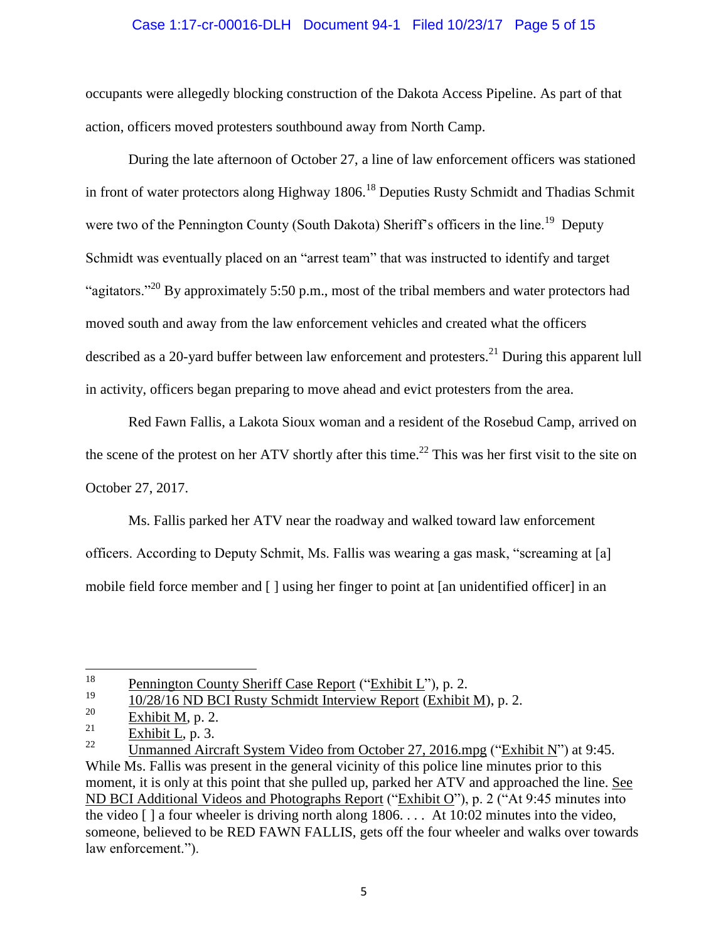## Case 1:17-cr-00016-DLH Document 94-1 Filed 10/23/17 Page 5 of 15

occupants were allegedly blocking construction of the Dakota Access Pipeline. As part of that action, officers moved protesters southbound away from North Camp.

During the late afternoon of October 27, a line of law enforcement officers was stationed in front of water protectors along Highway 1806.<sup>18</sup> Deputies Rusty Schmidt and Thadias Schmit were two of the Pennington County (South Dakota) Sheriff's officers in the line.<sup>19</sup> Deputy Schmidt was eventually placed on an "arrest team" that was instructed to identify and target "agitators."<sup>20</sup> By approximately 5:50 p.m., most of the tribal members and water protectors had moved south and away from the law enforcement vehicles and created what the officers described as a 20-yard buffer between law enforcement and protesters.<sup>21</sup> During this apparent lull in activity, officers began preparing to move ahead and evict protesters from the area.

Red Fawn Fallis, a Lakota Sioux woman and a resident of the Rosebud Camp, arrived on the scene of the protest on her ATV shortly after this time.<sup>22</sup> This was her first visit to the site on October 27, 2017.

Ms. Fallis parked her ATV near the roadway and walked toward law enforcement officers. According to Deputy Schmit, Ms. Fallis was wearing a gas mask, "screaming at [a] mobile field force member and [ ] using her finger to point at [an unidentified officer] in an

 $18\,$ <sup>18</sup> Pennington County Sheriff Case Report ("Exhibit L"), p. 2.<br>19  $10/28/16$  ND BCJ Busty Schmidt Integriery Beneat (Exhibit

 $\frac{19}{120}$   $\frac{10/28/16 \text{ ND BCI Rusty Schmidt Interview Report (Exhibit M)}{Evhibit M. R.2}$ 

 $rac{20}{21}$  Exhibit M, p. 2.

 $rac{21}{22}$  Exhibit L, p. 3.

<sup>22</sup> Unmanned Aircraft System Video from October 27, 2016.mpg ("Exhibit N") at 9:45. While Ms. Fallis was present in the general vicinity of this police line minutes prior to this moment, it is only at this point that she pulled up, parked her ATV and approached the line. See ND BCI Additional Videos and Photographs Report ("Exhibit O"), p. 2 ("At 9:45 minutes into the video [ ] a four wheeler is driving north along 1806. . . . At 10:02 minutes into the video, someone, believed to be RED FAWN FALLIS, gets off the four wheeler and walks over towards law enforcement.").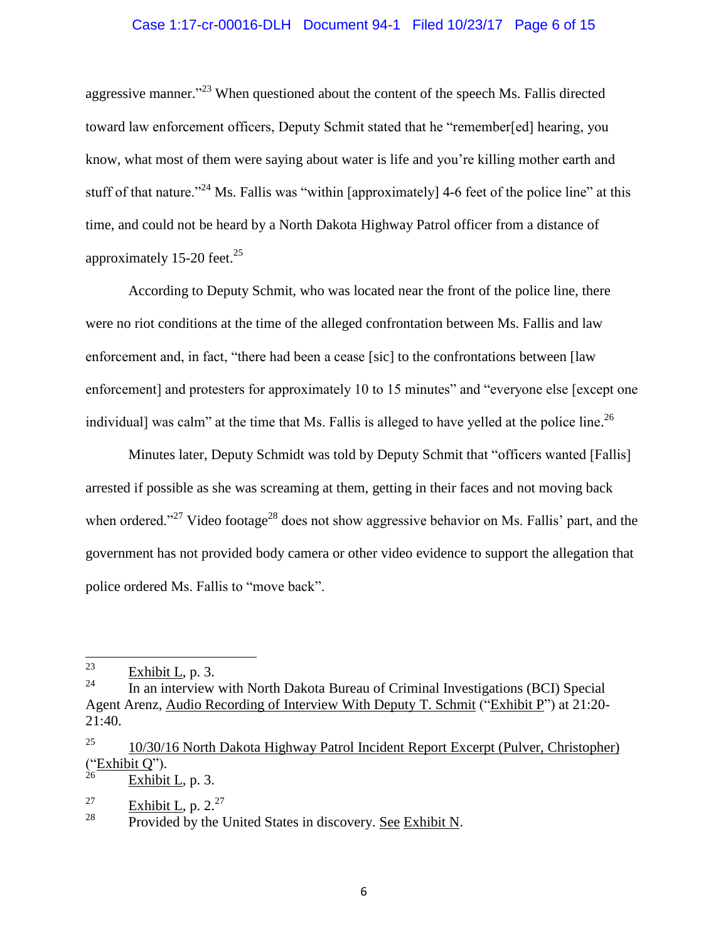### Case 1:17-cr-00016-DLH Document 94-1 Filed 10/23/17 Page 6 of 15

aggressive manner."<sup>23</sup> When questioned about the content of the speech Ms. Fallis directed toward law enforcement officers, Deputy Schmit stated that he "remember[ed] hearing, you know, what most of them were saying about water is life and you're killing mother earth and stuff of that nature."<sup>24</sup> Ms. Fallis was "within [approximately] 4-6 feet of the police line" at this time, and could not be heard by a North Dakota Highway Patrol officer from a distance of approximately 15-20 feet.<sup>25</sup>

According to Deputy Schmit, who was located near the front of the police line, there were no riot conditions at the time of the alleged confrontation between Ms. Fallis and law enforcement and, in fact, "there had been a cease [sic] to the confrontations between [law enforcement] and protesters for approximately 10 to 15 minutes" and "everyone else [except one individual] was calm" at the time that Ms. Fallis is alleged to have yelled at the police line.<sup>26</sup>

Minutes later, Deputy Schmidt was told by Deputy Schmit that "officers wanted [Fallis] arrested if possible as she was screaming at them, getting in their faces and not moving back when ordered."<sup>27</sup> Video footage<sup>28</sup> does not show aggressive behavior on Ms. Fallis' part, and the government has not provided body camera or other video evidence to support the allegation that police ordered Ms. Fallis to "move back".

 $rac{27}{28}$  Exhibit L, p. 2.<sup>27</sup>

<sup>23</sup>  $\frac{23}{24}$  Exhibit L, p. 3.

In an interview with North Dakota Bureau of Criminal Investigations (BCI) Special Agent Arenz, Audio Recording of Interview With Deputy T. Schmit ("Exhibit P") at 21:20- 21:40.

<sup>&</sup>lt;sup>25</sup> 10/30/16 North Dakota Highway Patrol Incident Report Excerpt (Pulver, Christopher)  $\frac{(\text{``Exhibit Q''})}{26}$ .

Exhibit L, p. 3.

Provided by the United States in discovery. See Exhibit N.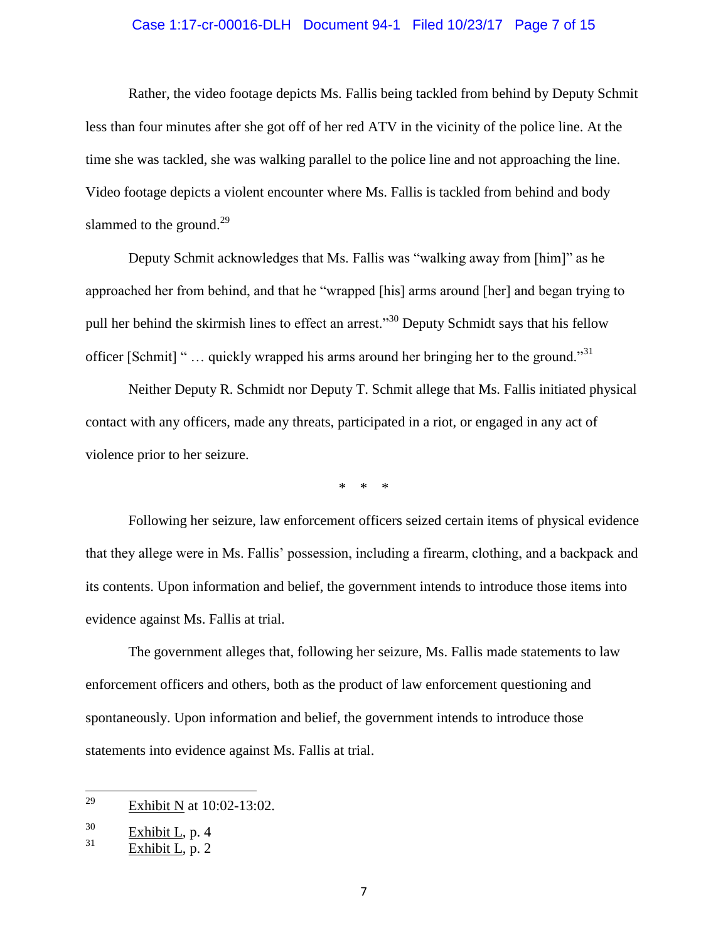### Case 1:17-cr-00016-DLH Document 94-1 Filed 10/23/17 Page 7 of 15

Rather, the video footage depicts Ms. Fallis being tackled from behind by Deputy Schmit less than four minutes after she got off of her red ATV in the vicinity of the police line. At the time she was tackled, she was walking parallel to the police line and not approaching the line. Video footage depicts a violent encounter where Ms. Fallis is tackled from behind and body slammed to the ground.<sup>29</sup>

Deputy Schmit acknowledges that Ms. Fallis was "walking away from [him]" as he approached her from behind, and that he "wrapped [his] arms around [her] and began trying to pull her behind the skirmish lines to effect an arrest.<sup>330</sup> Deputy Schmidt says that his fellow officer [Schmit] " $\ldots$  quickly wrapped his arms around her bringing her to the ground."<sup>31</sup>

Neither Deputy R. Schmidt nor Deputy T. Schmit allege that Ms. Fallis initiated physical contact with any officers, made any threats, participated in a riot, or engaged in any act of violence prior to her seizure.

\* \* \*

Following her seizure, law enforcement officers seized certain items of physical evidence that they allege were in Ms. Fallis' possession, including a firearm, clothing, and a backpack and its contents. Upon information and belief, the government intends to introduce those items into evidence against Ms. Fallis at trial.

The government alleges that, following her seizure, Ms. Fallis made statements to law enforcement officers and others, both as the product of law enforcement questioning and spontaneously. Upon information and belief, the government intends to introduce those statements into evidence against Ms. Fallis at trial.

<sup>29</sup> Exhibit N at 10:02-13:02.

 $rac{30}{31}$  Exhibit L, p. 4

Exhibit L, p. 2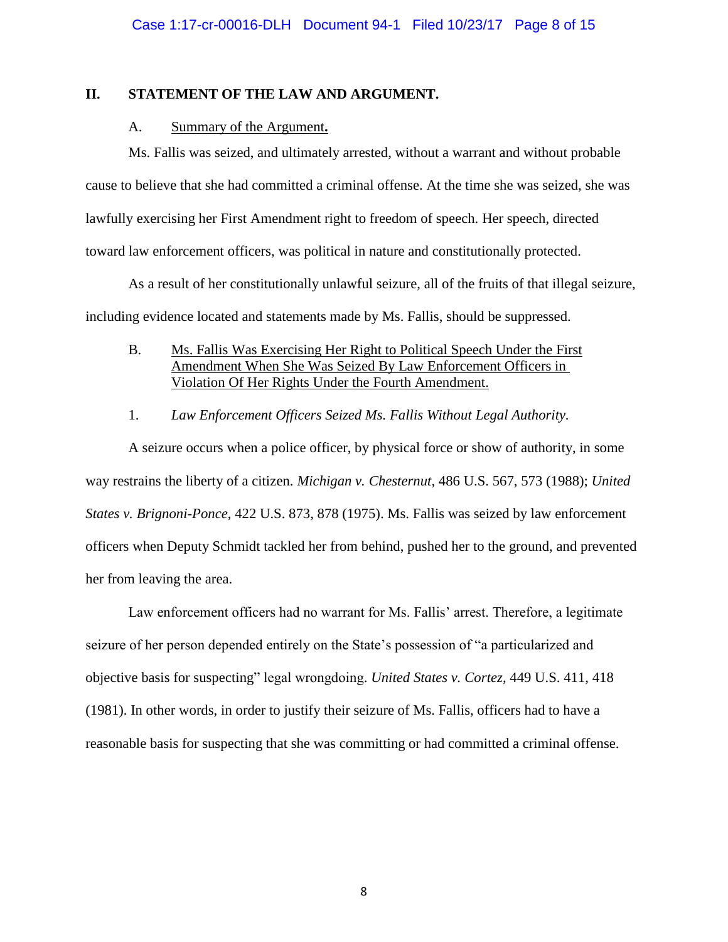## **II. STATEMENT OF THE LAW AND ARGUMENT.**

## A. Summary of the Argument**.**

Ms. Fallis was seized, and ultimately arrested, without a warrant and without probable cause to believe that she had committed a criminal offense. At the time she was seized, she was lawfully exercising her First Amendment right to freedom of speech. Her speech, directed toward law enforcement officers, was political in nature and constitutionally protected.

As a result of her constitutionally unlawful seizure, all of the fruits of that illegal seizure, including evidence located and statements made by Ms. Fallis, should be suppressed.

- B. Ms. Fallis Was Exercising Her Right to Political Speech Under the First Amendment When She Was Seized By Law Enforcement Officers in Violation Of Her Rights Under the Fourth Amendment.
- 1. *Law Enforcement Officers Seized Ms. Fallis Without Legal Authority.*

A seizure occurs when a police officer, by physical force or show of authority, in some way restrains the liberty of a citizen. *Michigan v. Chesternut*, 486 U.S. 567, 573 (1988); *United States v. Brignoni-Ponce*, 422 U.S. 873, 878 (1975). Ms. Fallis was seized by law enforcement officers when Deputy Schmidt tackled her from behind, pushed her to the ground, and prevented her from leaving the area.

Law enforcement officers had no warrant for Ms. Fallis' arrest. Therefore, a legitimate seizure of her person depended entirely on the State's possession of "a particularized and objective basis for suspecting" legal wrongdoing. *United States v. Cortez*, 449 U.S. 411, 418 (1981). In other words, in order to justify their seizure of Ms. Fallis, officers had to have a reasonable basis for suspecting that she was committing or had committed a criminal offense.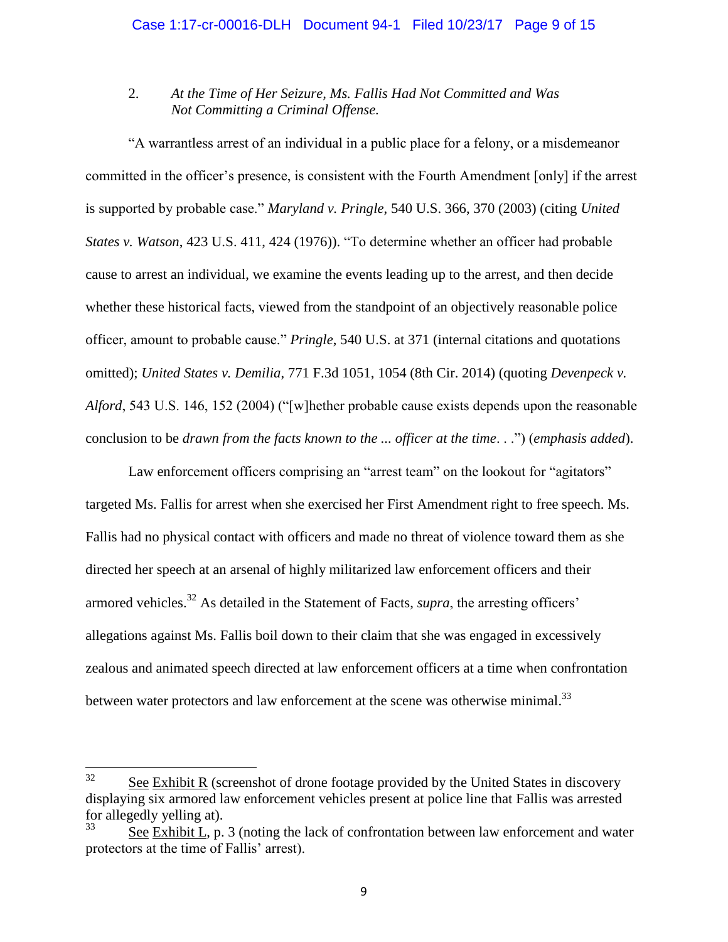# 2. *At the Time of Her Seizure, Ms. Fallis Had Not Committed and Was Not Committing a Criminal Offense.*

"A warrantless arrest of an individual in a public place for a felony, or a misdemeanor committed in the officer's presence, is consistent with the Fourth Amendment [only] if the arrest is supported by probable case." *Maryland v. Pringle*, 540 U.S. 366, 370 (2003) (citing *United States v. Watson*, 423 U.S. 411, 424 (1976)). "To determine whether an officer had probable cause to arrest an individual, we examine the events leading up to the arrest, and then decide whether these historical facts, viewed from the standpoint of an objectively reasonable police officer, amount to probable cause." *Pringle*, 540 U.S. at 371 (internal citations and quotations omitted); *United States v. Demilia*, 771 F.3d 1051, 1054 (8th Cir. 2014) (quoting *Devenpeck v. Alford*, 543 U.S. 146, 152 (2004) ("[w]hether probable cause exists depends upon the reasonable conclusion to be *drawn from the facts known to the ... officer at the time*. . .") (*emphasis added*).

Law enforcement officers comprising an "arrest team" on the lookout for "agitators" targeted Ms. Fallis for arrest when she exercised her First Amendment right to free speech. Ms. Fallis had no physical contact with officers and made no threat of violence toward them as she directed her speech at an arsenal of highly militarized law enforcement officers and their armored vehicles. <sup>32</sup> As detailed in the Statement of Facts, *supra*, the arresting officers' allegations against Ms. Fallis boil down to their claim that she was engaged in excessively zealous and animated speech directed at law enforcement officers at a time when confrontation between water protectors and law enforcement at the scene was otherwise minimal.<sup>33</sup>

<sup>32</sup> See Exhibit R (screenshot of drone footage provided by the United States in discovery displaying six armored law enforcement vehicles present at police line that Fallis was arrested for allegedly yelling at).

See Exhibit L, p. 3 (noting the lack of confrontation between law enforcement and water protectors at the time of Fallis' arrest).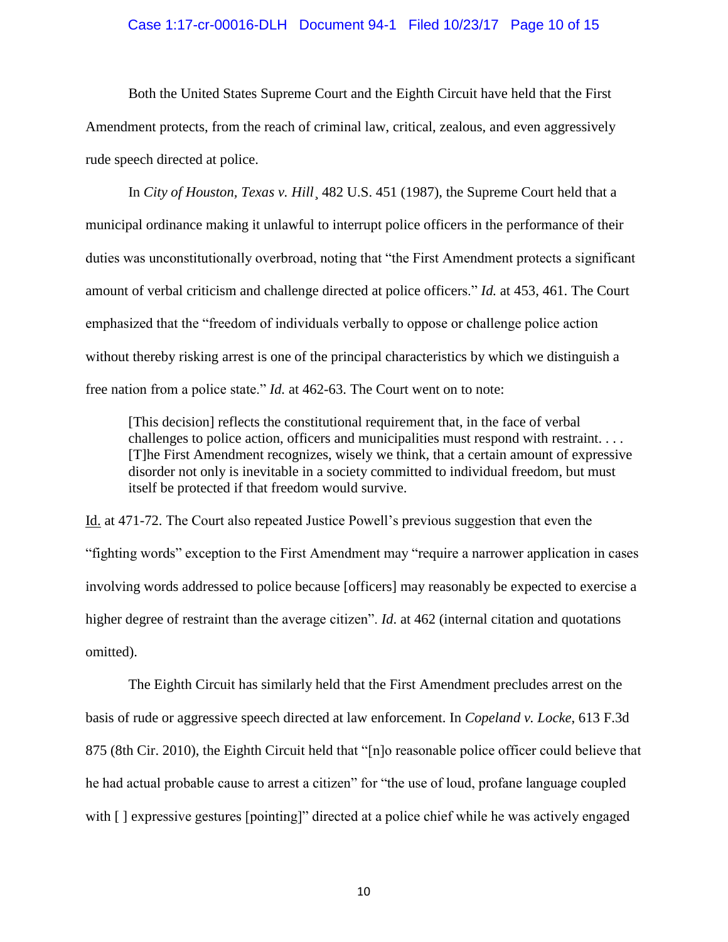#### Case 1:17-cr-00016-DLH Document 94-1 Filed 10/23/17 Page 10 of 15

Both the United States Supreme Court and the Eighth Circuit have held that the First Amendment protects, from the reach of criminal law, critical, zealous, and even aggressively rude speech directed at police.

In *City of Houston, Texas v. Hill*, 482 U.S. 451 (1987), the Supreme Court held that a municipal ordinance making it unlawful to interrupt police officers in the performance of their duties was unconstitutionally overbroad, noting that "the First Amendment protects a significant amount of verbal criticism and challenge directed at police officers." *Id.* at 453, 461. The Court emphasized that the "freedom of individuals verbally to oppose or challenge police action without thereby risking arrest is one of the principal characteristics by which we distinguish a free nation from a police state." *Id.* at 462-63. The Court went on to note:

[This decision] reflects the constitutional requirement that, in the face of verbal challenges to police action, officers and municipalities must respond with restraint. . . . [T]he First Amendment recognizes, wisely we think, that a certain amount of expressive disorder not only is inevitable in a society committed to individual freedom, but must itself be protected if that freedom would survive.

Id. at 471-72. The Court also repeated Justice Powell's previous suggestion that even the "fighting words" exception to the First Amendment may "require a narrower application in cases involving words addressed to police because [officers] may reasonably be expected to exercise a higher degree of restraint than the average citizen". *Id.* at 462 (internal citation and quotations omitted).

The Eighth Circuit has similarly held that the First Amendment precludes arrest on the basis of rude or aggressive speech directed at law enforcement. In *Copeland v. Locke*, 613 F.3d 875 (8th Cir. 2010), the Eighth Circuit held that "[n]o reasonable police officer could believe that he had actual probable cause to arrest a citizen" for "the use of loud, profane language coupled with  $\lceil \cdot \rceil$  expressive gestures [pointing]" directed at a police chief while he was actively engaged

10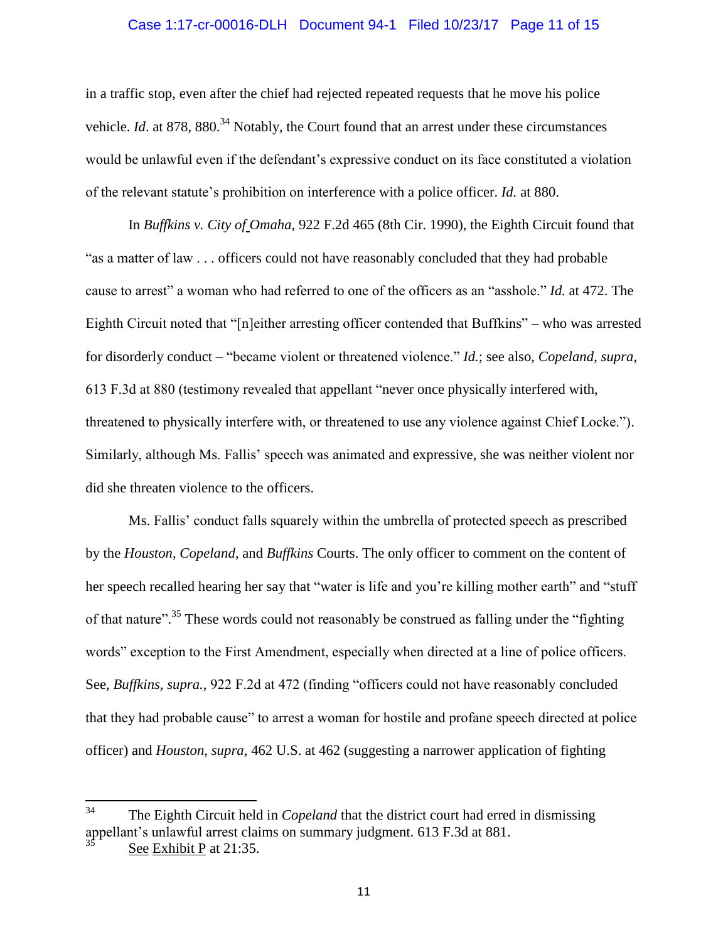#### Case 1:17-cr-00016-DLH Document 94-1 Filed 10/23/17 Page 11 of 15

in a traffic stop, even after the chief had rejected repeated requests that he move his police vehicle. *Id.* at 878, 880.<sup>34</sup> Notably, the Court found that an arrest under these circumstances would be unlawful even if the defendant's expressive conduct on its face constituted a violation of the relevant statute's prohibition on interference with a police officer. *Id.* at 880.

In *Buffkins v. City of Omaha*, 922 F.2d 465 (8th Cir. 1990), the Eighth Circuit found that "as a matter of law . . . officers could not have reasonably concluded that they had probable cause to arrest" a woman who had referred to one of the officers as an "asshole." *Id.* at 472. The Eighth Circuit noted that "[n]either arresting officer contended that Buffkins" – who was arrested for disorderly conduct – "became violent or threatened violence." *Id.*; see also, *Copeland*, *supra*, 613 F.3d at 880 (testimony revealed that appellant "never once physically interfered with, threatened to physically interfere with, or threatened to use any violence against Chief Locke."). Similarly, although Ms. Fallis' speech was animated and expressive, she was neither violent nor did she threaten violence to the officers.

Ms. Fallis' conduct falls squarely within the umbrella of protected speech as prescribed by the *Houston, Copeland*, and *Buffkins* Courts. The only officer to comment on the content of her speech recalled hearing her say that "water is life and you're killing mother earth" and "stuff of that nature".<sup>35</sup> These words could not reasonably be construed as falling under the "fighting" words" exception to the First Amendment, especially when directed at a line of police officers. See, *Buffkins, supra.*, 922 F.2d at 472 (finding "officers could not have reasonably concluded that they had probable cause" to arrest a woman for hostile and profane speech directed at police officer) and *Houston*, *supra*, 462 U.S. at 462 (suggesting a narrower application of fighting

<sup>34</sup> The Eighth Circuit held in *Copeland* that the district court had erred in dismissing appellant's unlawful arrest claims on summary judgment. 613 F.3d at 881.

See Exhibit P at 21:35.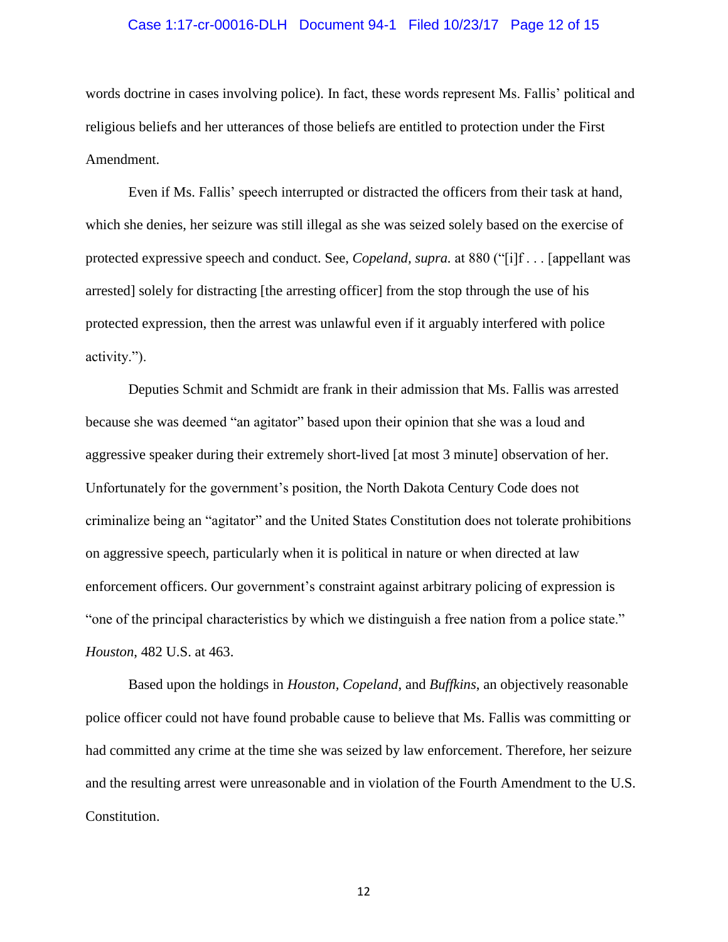#### Case 1:17-cr-00016-DLH Document 94-1 Filed 10/23/17 Page 12 of 15

words doctrine in cases involving police). In fact, these words represent Ms. Fallis' political and religious beliefs and her utterances of those beliefs are entitled to protection under the First Amendment.

Even if Ms. Fallis' speech interrupted or distracted the officers from their task at hand, which she denies, her seizure was still illegal as she was seized solely based on the exercise of protected expressive speech and conduct. See, *Copeland, supra.* at 880 ("[i]f . . . [appellant was arrested] solely for distracting [the arresting officer] from the stop through the use of his protected expression, then the arrest was unlawful even if it arguably interfered with police activity.").

Deputies Schmit and Schmidt are frank in their admission that Ms. Fallis was arrested because she was deemed "an agitator" based upon their opinion that she was a loud and aggressive speaker during their extremely short-lived [at most 3 minute] observation of her. Unfortunately for the government's position, the North Dakota Century Code does not criminalize being an "agitator" and the United States Constitution does not tolerate prohibitions on aggressive speech, particularly when it is political in nature or when directed at law enforcement officers. Our government's constraint against arbitrary policing of expression is "one of the principal characteristics by which we distinguish a free nation from a police state." *Houston*, 482 U.S. at 463.

Based upon the holdings in *Houston, Copeland*, and *Buffkins*, an objectively reasonable police officer could not have found probable cause to believe that Ms. Fallis was committing or had committed any crime at the time she was seized by law enforcement. Therefore, her seizure and the resulting arrest were unreasonable and in violation of the Fourth Amendment to the U.S. Constitution.

12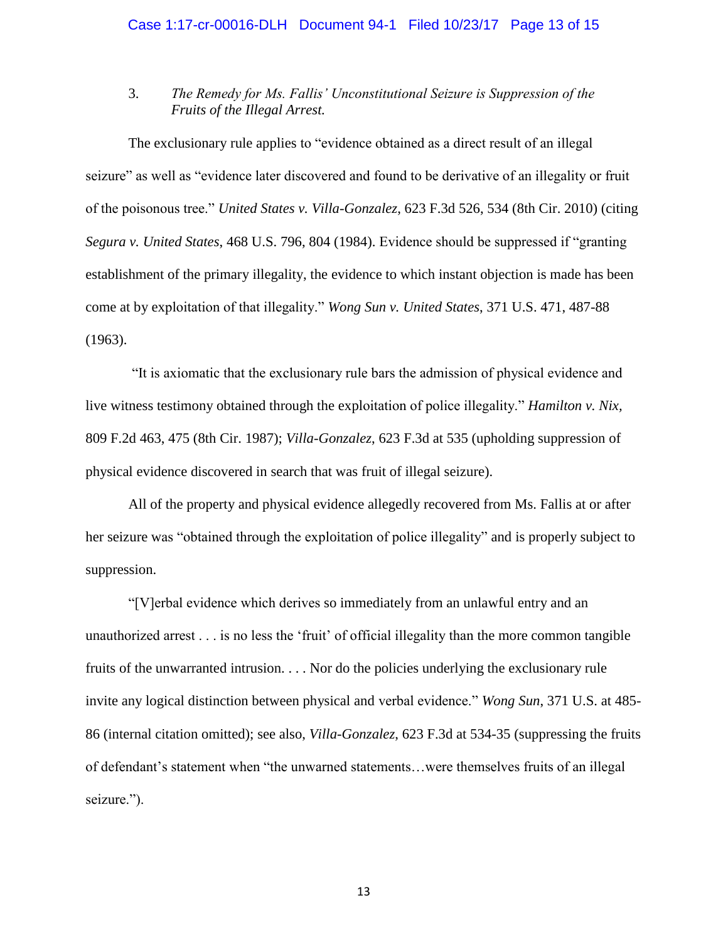# 3. *The Remedy for Ms. Fallis' Unconstitutional Seizure is Suppression of the Fruits of the Illegal Arrest.*

The exclusionary rule applies to "evidence obtained as a direct result of an illegal seizure" as well as "evidence later discovered and found to be derivative of an illegality or fruit of the poisonous tree." *United States v. Villa-Gonzalez*, 623 F.3d 526, 534 (8th Cir. 2010) (citing *Segura v. United States*, 468 U.S. 796, 804 (1984). Evidence should be suppressed if "granting establishment of the primary illegality, the evidence to which instant objection is made has been come at by exploitation of that illegality." *Wong Sun v. United States*, 371 U.S. 471, 487-88 (1963).

"It is axiomatic that the exclusionary rule bars the admission of physical evidence and live witness testimony obtained through the exploitation of police illegality." *Hamilton v. Nix,* 809 F.2d 463, 475 (8th Cir. 1987); *Villa-Gonzalez*, 623 F.3d at 535 (upholding suppression of physical evidence discovered in search that was fruit of illegal seizure).

All of the property and physical evidence allegedly recovered from Ms. Fallis at or after her seizure was "obtained through the exploitation of police illegality" and is properly subject to suppression.

"[V]erbal evidence which derives so immediately from an unlawful entry and an unauthorized arrest . . . is no less the 'fruit' of official illegality than the more common tangible fruits of the unwarranted intrusion. . . . Nor do the policies underlying the exclusionary rule invite any logical distinction between physical and verbal evidence." *Wong Sun*, 371 U.S. at 485- 86 (internal citation omitted); see also, *Villa-Gonzalez*, 623 F.3d at 534-35 (suppressing the fruits of defendant's statement when "the unwarned statements…were themselves fruits of an illegal seizure.").

13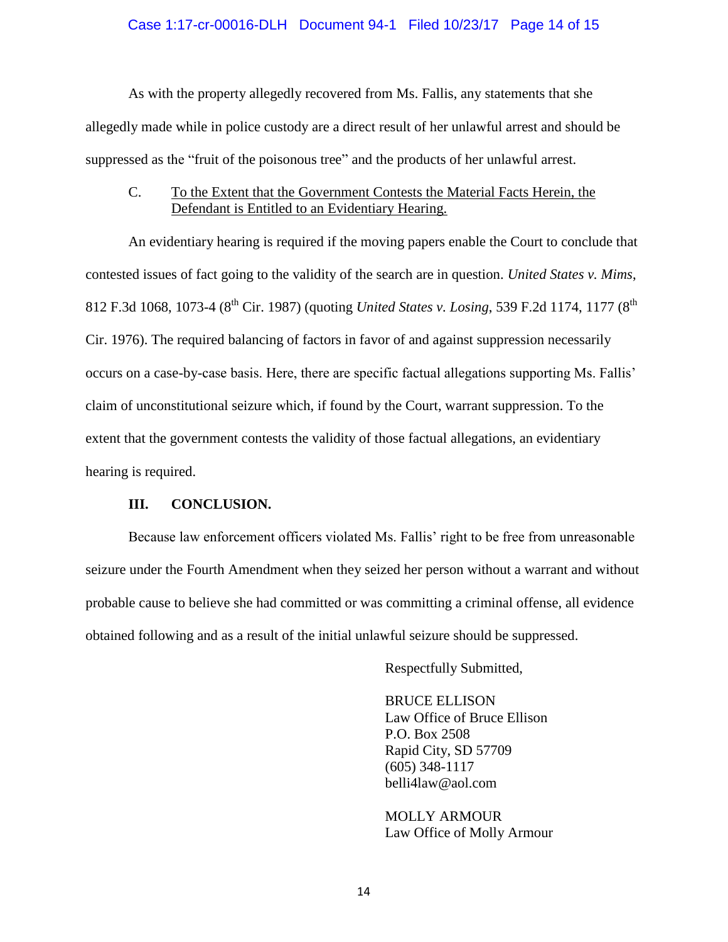### Case 1:17-cr-00016-DLH Document 94-1 Filed 10/23/17 Page 14 of 15

As with the property allegedly recovered from Ms. Fallis, any statements that she allegedly made while in police custody are a direct result of her unlawful arrest and should be suppressed as the "fruit of the poisonous tree" and the products of her unlawful arrest.

## C. To the Extent that the Government Contests the Material Facts Herein, the Defendant is Entitled to an Evidentiary Hearing.

An evidentiary hearing is required if the moving papers enable the Court to conclude that contested issues of fact going to the validity of the search are in question. *United States v. Mims*, 812 F.3d 1068, 1073-4 (8<sup>th</sup> Cir. 1987) (quoting *United States v. Losing*, 539 F.2d 1174, 1177 (8<sup>th</sup>) Cir. 1976). The required balancing of factors in favor of and against suppression necessarily occurs on a case-by-case basis. Here, there are specific factual allegations supporting Ms. Fallis' claim of unconstitutional seizure which, if found by the Court, warrant suppression. To the extent that the government contests the validity of those factual allegations, an evidentiary hearing is required.

## **III. CONCLUSION.**

Because law enforcement officers violated Ms. Fallis' right to be free from unreasonable seizure under the Fourth Amendment when they seized her person without a warrant and without probable cause to believe she had committed or was committing a criminal offense, all evidence obtained following and as a result of the initial unlawful seizure should be suppressed.

Respectfully Submitted,

BRUCE ELLISON Law Office of Bruce Ellison P.O. Box 2508 Rapid City, SD 57709 (605) 348-1117 belli4law@aol.com

MOLLY ARMOUR Law Office of Molly Armour